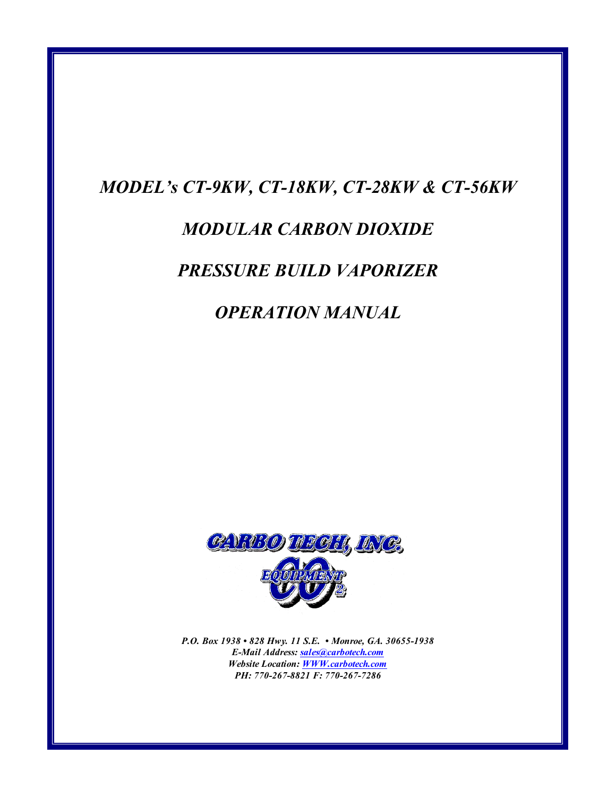# MODEL's CT-9KW, CT-18KW, CT-28KW & CT-56KW

# MODULAR CARBON DIOXIDE

# PRESSURE BUILD VAPORIZER

# OPERATION MANUAL



P.O. Box 1938 • 828 Hwy. 11 S.E. • Monroe, GA. 30655-1938 E-Mail Address: sales@carbotech.com Website Location: WWW.carbotech.com PH: 770-267-8821 F: 770-267-7286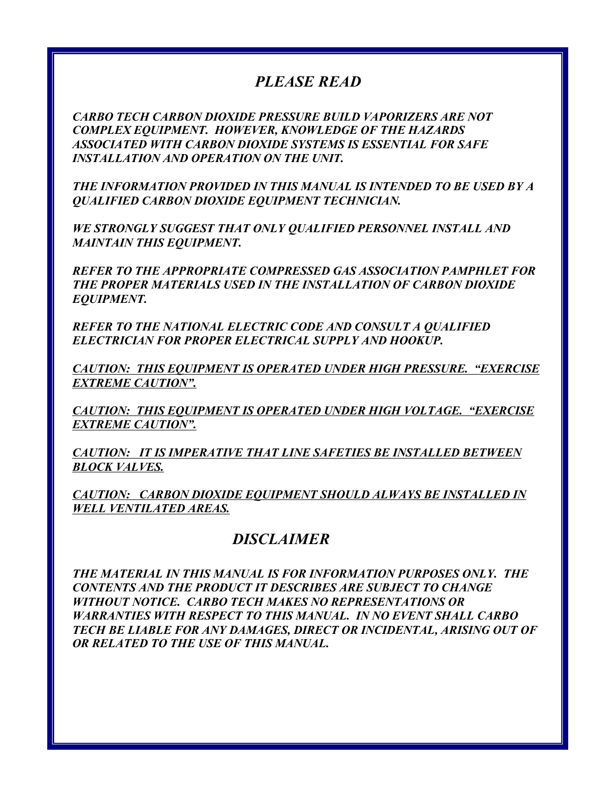# PLEASE READ

CARBO TECH CARBON DIOXIDE PRESSURE BUILD VAPORIZERS ARE NOT COMPLEX EQUIPMENT. HOWEVER, KNOWLEDGE OF THE HAZARDS ASSOCIATED WITH CARBON DIOXIDE SYSTEMS IS ESSENTIAL FOR SAFE INSTALLATION AND OPERATION ON THE UNIT.

THE INFORMATION PROVIDED IN THIS MANUAL IS INTENDED TO BE USED BY A QUALIFIED CARBON DIOXIDE EQUIPMENT TECHNICIAN.

WE STRONGLY SUGGEST THAT ONLY QUALIFIED PERSONNEL INSTALL AND MAINTAIN THIS EQUIPMENT.

REFER TO THE APPROPRIATE COMPRESSED GAS ASSOCIATION PAMPHLET FOR THE PROPER MATERIALS USED IN THE INSTALLATION OF CARBON DIOXIDE EQUIPMENT.

REFER TO THE NATIONAL ELECTRIC CODE AND CONSULT A QUALIFIED ELECTRICIAN FOR PROPER ELECTRICAL SUPPLY AND HOOKUP.

CAUTION: THIS EQUIPMENT IS OPERATED UNDER HIGH PRESSURE. "EXERCISE EXTREME CAUTION".

CAUTION: THIS EQUIPMENT IS OPERATED UNDER HIGH VOLTAGE. "EXERCISE EXTREME CAUTION".

CAUTION: IT IS IMPERATIVE THAT LINE SAFETIES BE INSTALLED BETWEEN BLOCK VALVES.

CAUTION: CARBON DIOXIDE EQUIPMENT SHOULD ALWAYS BE INSTALLED IN WELL VENTILATED AREAS.

## DISCLAIMER

THE MATERIAL IN THIS MANUAL IS FOR INFORMATION PURPOSES ONLY. THE CONTENTS AND THE PRODUCT IT DESCRIBES ARE SUBJECT TO CHANGE WITHOUT NOTICE. CARBO TECH MAKES NO REPRESENTATIONS OR WARRANTIES WITH RESPECT TO THIS MANUAL. IN NO EVENT SHALL CARBO TECH BE LIABLE FOR ANY DAMAGES, DIRECT OR INCIDENTAL, ARISING OUT OF OR RELATED TO THE USE OF THIS MANUAL.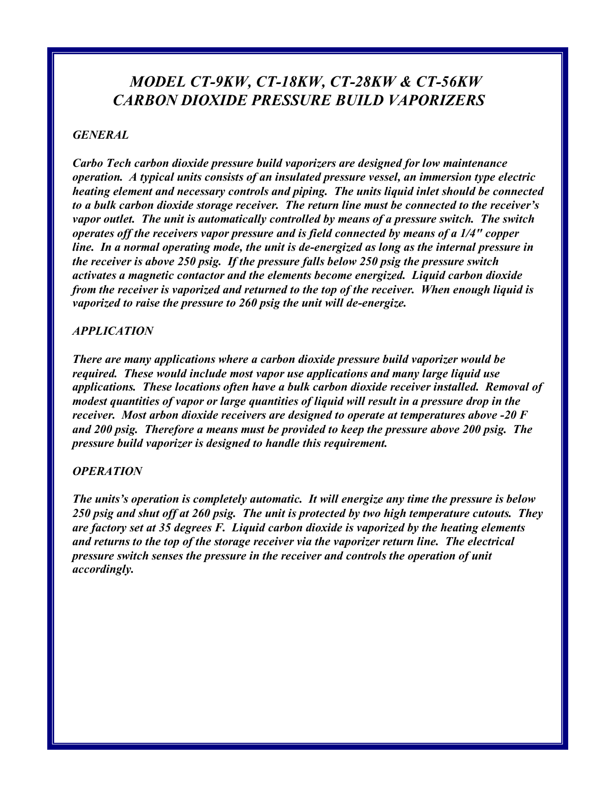# MODEL CT-9KW, CT-18KW, CT-28KW & CT-56KW CARBON DIOXIDE PRESSURE BUILD VAPORIZERS

## GENERAL

Carbo Tech carbon dioxide pressure build vaporizers are designed for low maintenance operation. A typical units consists of an insulated pressure vessel, an immersion type electric heating element and necessary controls and piping. The units liquid inlet should be connected to a bulk carbon dioxide storage receiver. The return line must be connected to the receiver's vapor outlet. The unit is automatically controlled by means of a pressure switch. The switch operates off the receivers vapor pressure and is field connected by means of a 1/4" copper line. In a normal operating mode, the unit is de-energized as long as the internal pressure in the receiver is above 250 psig. If the pressure falls below 250 psig the pressure switch activates a magnetic contactor and the elements become energized. Liquid carbon dioxide from the receiver is vaporized and returned to the top of the receiver. When enough liquid is vaporized to raise the pressure to 260 psig the unit will de-energize.

### APPLICATION

There are many applications where a carbon dioxide pressure build vaporizer would be required. These would include most vapor use applications and many large liquid use applications. These locations often have a bulk carbon dioxide receiver installed. Removal of modest quantities of vapor or large quantities of liquid will result in a pressure drop in the receiver. Most arbon dioxide receivers are designed to operate at temperatures above -20 F and 200 psig. Therefore a means must be provided to keep the pressure above 200 psig. The pressure build vaporizer is designed to handle this requirement.

#### **OPERATION**

The units's operation is completely automatic. It will energize any time the pressure is below 250 psig and shut off at 260 psig. The unit is protected by two high temperature cutouts. They are factory set at 35 degrees F. Liquid carbon dioxide is vaporized by the heating elements and returns to the top of the storage receiver via the vaporizer return line. The electrical pressure switch senses the pressure in the receiver and controls the operation of unit accordingly.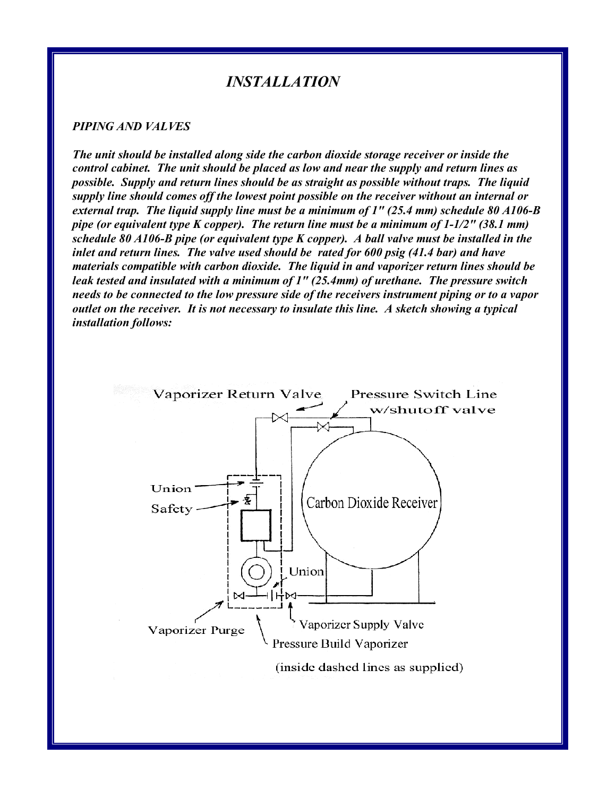# INSTALLATION

#### PIPING AND VALVES

The unit should be installed along side the carbon dioxide storage receiver or inside the control cabinet. The unit should be placed as low and near the supply and return lines as possible. Supply and return lines should be as straight as possible without traps. The liquid supply line should comes off the lowest point possible on the receiver without an internal or external trap. The liquid supply line must be a minimum of 1" (25.4 mm) schedule 80 A106-B pipe (or equivalent type K copper). The return line must be a minimum of 1-1/2" (38.1 mm) schedule 80 A106-B pipe (or equivalent type K copper). A ball valve must be installed in the inlet and return lines. The valve used should be rated for 600 psig (41.4 bar) and have materials compatible with carbon dioxide. The liquid in and vaporizer return lines should be leak tested and insulated with a minimum of 1" (25.4mm) of urethane. The pressure switch needs to be connected to the low pressure side of the receivers instrument piping or to a vapor outlet on the receiver. It is not necessary to insulate this line. A sketch showing a typical installation follows:

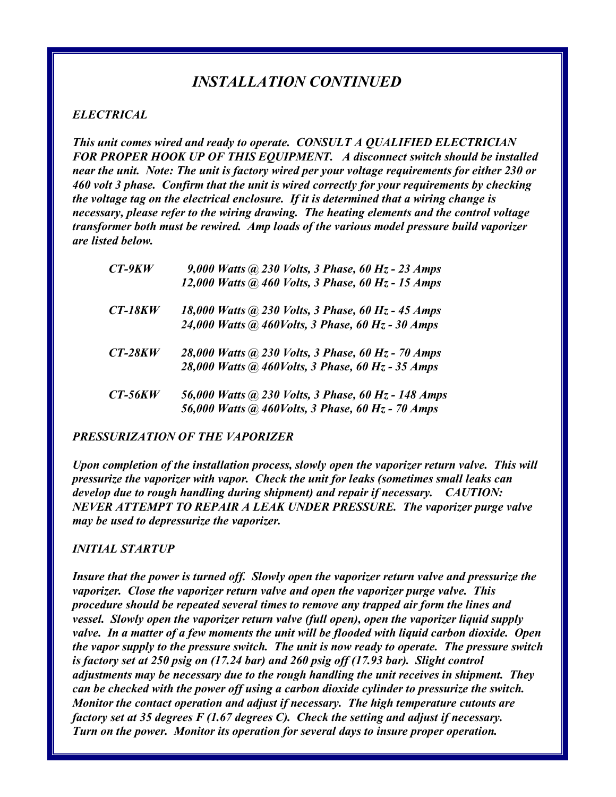# INSTALLATION CONTINUED

### ELECTRICAL

This unit comes wired and ready to operate. CONSULT A QUALIFIED ELECTRICIAN FOR PROPER HOOK UP OF THIS EQUIPMENT. A disconnect switch should be installed near the unit. Note: The unit is factory wired per your voltage requirements for either 230 or 460 volt 3 phase. Confirm that the unit is wired correctly for your requirements by checking the voltage tag on the electrical enclosure. If it is determined that a wiring change is necessary, please refer to the wiring drawing. The heating elements and the control voltage transformer both must be rewired. Amp loads of the various model pressure build vaporizer are listed below.

| $CT-9KW$  | 9,000 Watts $\omega$ 230 Volts, 3 Phase, 60 Hz - 23 Amps |
|-----------|----------------------------------------------------------|
|           | 12,000 Watts @ 460 Volts, 3 Phase, 60 Hz - 15 Amps       |
| $CT-18KW$ | 18,000 Watts @ 230 Volts, 3 Phase, 60 Hz - 45 Amps       |
|           | 24,000 Watts @ 460Volts, 3 Phase, 60 Hz - 30 Amps        |
| $CT-28KW$ | 28,000 Watts @ 230 Volts, 3 Phase, 60 Hz - 70 Amps       |
|           | 28,000 Watts @ 460Volts, 3 Phase, 60 Hz - 35 Amps        |
| $CT-56KW$ | 56,000 Watts @ 230 Volts, 3 Phase, 60 Hz - 148 Amps      |
|           | 56,000 Watts @ 460Volts, 3 Phase, 60 Hz - 70 Amps        |

### PRESSURIZATION OF THE VAPORIZER

Upon completion of the installation process, slowly open the vaporizer return valve. This will pressurize the vaporizer with vapor. Check the unit for leaks (sometimes small leaks can develop due to rough handling during shipment) and repair if necessary. CAUTION: NEVER ATTEMPT TO REPAIR A LEAK UNDER PRESSURE. The vaporizer purge valve may be used to depressurize the vaporizer.

### INITIAL STARTUP

Insure that the power is turned off. Slowly open the vaporizer return valve and pressurize the vaporizer. Close the vaporizer return valve and open the vaporizer purge valve. This procedure should be repeated several times to remove any trapped air form the lines and vessel. Slowly open the vaporizer return valve (full open), open the vaporizer liquid supply valve. In a matter of a few moments the unit will be flooded with liquid carbon dioxide. Open the vapor supply to the pressure switch. The unit is now ready to operate. The pressure switch is factory set at 250 psig on (17.24 bar) and 260 psig off (17.93 bar). Slight control adjustments may be necessary due to the rough handling the unit receives in shipment. They can be checked with the power off using a carbon dioxide cylinder to pressurize the switch. Monitor the contact operation and adjust if necessary. The high temperature cutouts are factory set at 35 degrees F (1.67 degrees C). Check the setting and adjust if necessary. Turn on the power. Monitor its operation for several days to insure proper operation.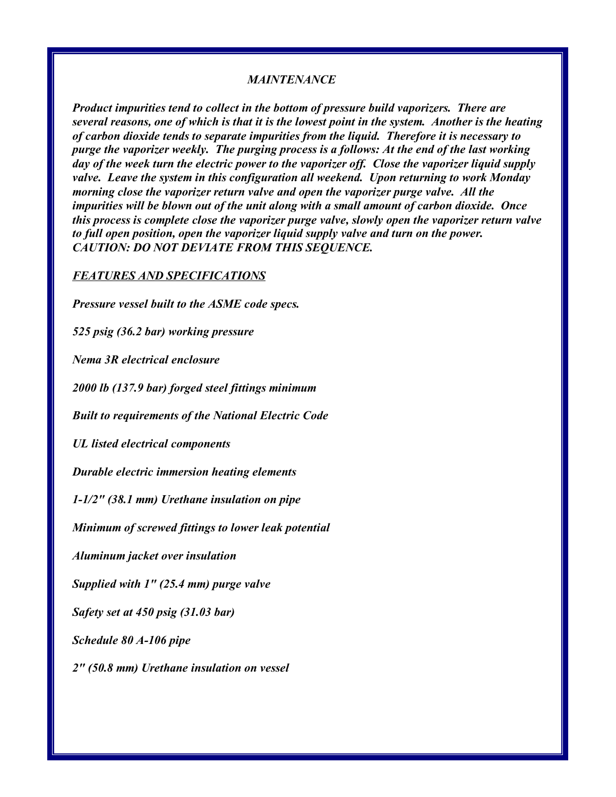#### MAINTENANCE

Product impurities tend to collect in the bottom of pressure build vaporizers. There are several reasons, one of which is that it is the lowest point in the system. Another is the heating of carbon dioxide tends to separate impurities from the liquid. Therefore it is necessary to purge the vaporizer weekly. The purging process is a follows: At the end of the last working day of the week turn the electric power to the vaporizer off. Close the vaporizer liquid supply valve. Leave the system in this configuration all weekend. Upon returning to work Monday morning close the vaporizer return valve and open the vaporizer purge valve. All the impurities will be blown out of the unit along with a small amount of carbon dioxide. Once this process is complete close the vaporizer purge valve, slowly open the vaporizer return valve to full open position, open the vaporizer liquid supply valve and turn on the power. CAUTION: DO NOT DEVIATE FROM THIS SEQUENCE.

#### FEATURES AND SPECIFICATIONS

Pressure vessel built to the ASME code specs.

525 psig (36.2 bar) working pressure

Nema 3R electrical enclosure

2000 lb (137.9 bar) forged steel fittings minimum

Built to requirements of the National Electric Code

UL listed electrical components

Durable electric immersion heating elements

1-1/2" (38.1 mm) Urethane insulation on pipe

Minimum of screwed fittings to lower leak potential

Aluminum jacket over insulation

Supplied with 1" (25.4 mm) purge valve

Safety set at 450 psig (31.03 bar)

Schedule 80 A-106 pipe

2" (50.8 mm) Urethane insulation on vessel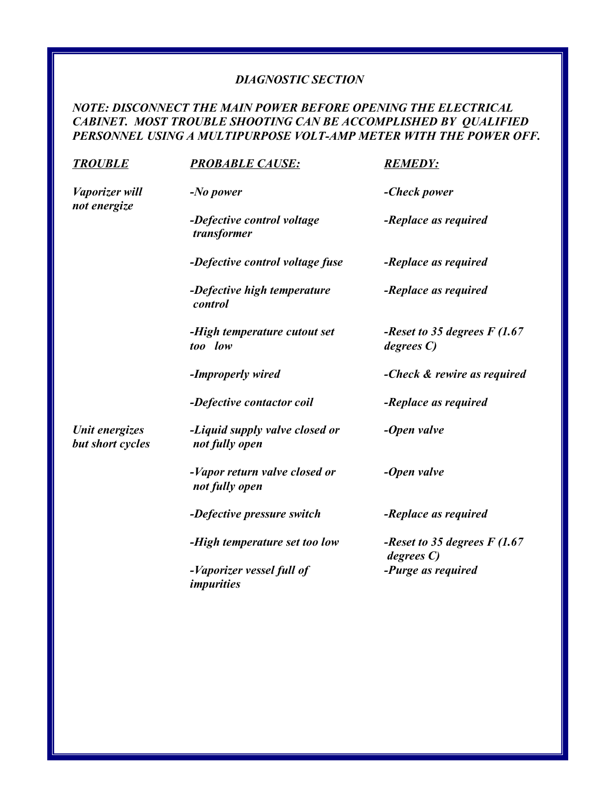## DIAGNOSTIC SECTION

## NOTE: DISCONNECT THE MAIN POWER BEFORE OPENING THE ELECTRICAL CABINET. MOST TROUBLE SHOOTING CAN BE ACCOMPLISHED BY QUALIFIED PERSONNEL USING A MULTIPURPOSE VOLT-AMP METER WITH THE POWER OFF.

| <b>PROBABLE CAUSE:</b>                           | <b>REMEDY:</b>                             |
|--------------------------------------------------|--------------------------------------------|
| $-No$ power                                      | -Check power                               |
| -Defective control voltage<br>transformer        | -Replace as required                       |
| -Defective control voltage fuse                  | -Replace as required                       |
| -Defective high temperature<br>control           | -Replace as required                       |
| -High temperature cutout set<br>too low          | -Reset to 35 degrees $F(1.67)$<br>degree C |
| -Improperly wired                                | -Check & rewire as required                |
| -Defective contactor coil                        | -Replace as required                       |
| -Liquid supply valve closed or<br>not fully open | -Open valve                                |
| -Vapor return valve closed or<br>not fully open  | -Open valve                                |
| -Defective pressure switch                       | -Replace as required                       |
| -High temperature set too low                    | -Reset to 35 degrees $F(1.67)$<br>degree C |
| -Vaporizer vessel full of<br><i>impurities</i>   | -Purge as required                         |
|                                                  |                                            |